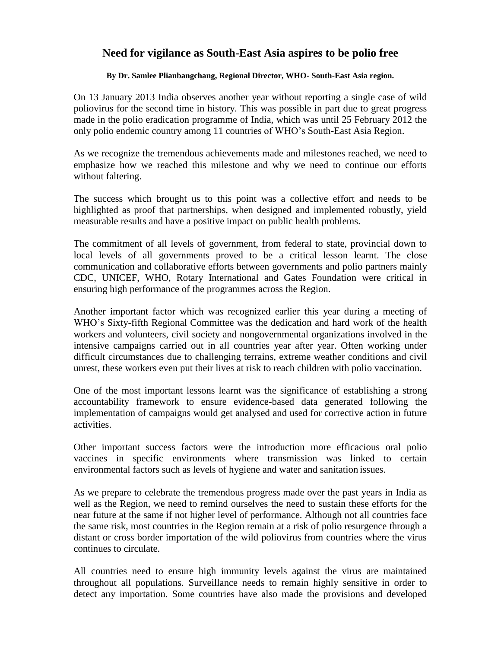## **Need for vigilance as South-East Asia aspires to be polio free**

## **By Dr. Samlee Plianbangchang, Regional Director, WHO- South-East Asia region.**

On 13 January 2013 India observes another year without reporting a single case of wild poliovirus for the second time in history. This was possible in part due to great progress made in the polio eradication programme of India, which was until 25 February 2012 the only polio endemic country among 11 countries of WHO's South-East Asia Region.

As we recognize the tremendous achievements made and milestones reached, we need to emphasize how we reached this milestone and why we need to continue our efforts without faltering.

The success which brought us to this point was a collective effort and needs to be highlighted as proof that partnerships, when designed and implemented robustly, yield measurable results and have a positive impact on public health problems.

The commitment of all levels of government, from federal to state, provincial down to local levels of all governments proved to be a critical lesson learnt. The close communication and collaborative efforts between governments and polio partners mainly CDC, UNICEF, WHO, Rotary International and Gates Foundation were critical in ensuring high performance of the programmes across the Region.

Another important factor which was recognized earlier this year during a meeting of WHO's Sixty-fifth Regional Committee was the dedication and hard work of the health workers and volunteers, civil society and nongovernmental organizations involved in the intensive campaigns carried out in all countries year after year. Often working under difficult circumstances due to challenging terrains, extreme weather conditions and civil unrest, these workers even put their lives at risk to reach children with polio vaccination.

One of the most important lessons learnt was the significance of establishing a strong accountability framework to ensure evidence-based data generated following the implementation of campaigns would get analysed and used for corrective action in future activities.

Other important success factors were the introduction more efficacious oral polio vaccines in specific environments where transmission was linked to certain environmental factors such as levels of hygiene and water and sanitation issues.

As we prepare to celebrate the tremendous progress made over the past years in India as well as the Region, we need to remind ourselves the need to sustain these efforts for the near future at the same if not higher level of performance. Although not all countries face the same risk, most countries in the Region remain at a risk of polio resurgence through a distant or cross border importation of the wild poliovirus from countries where the virus continues to circulate.

All countries need to ensure high immunity levels against the virus are maintained throughout all populations. Surveillance needs to remain highly sensitive in order to detect any importation. Some countries have also made the provisions and developed